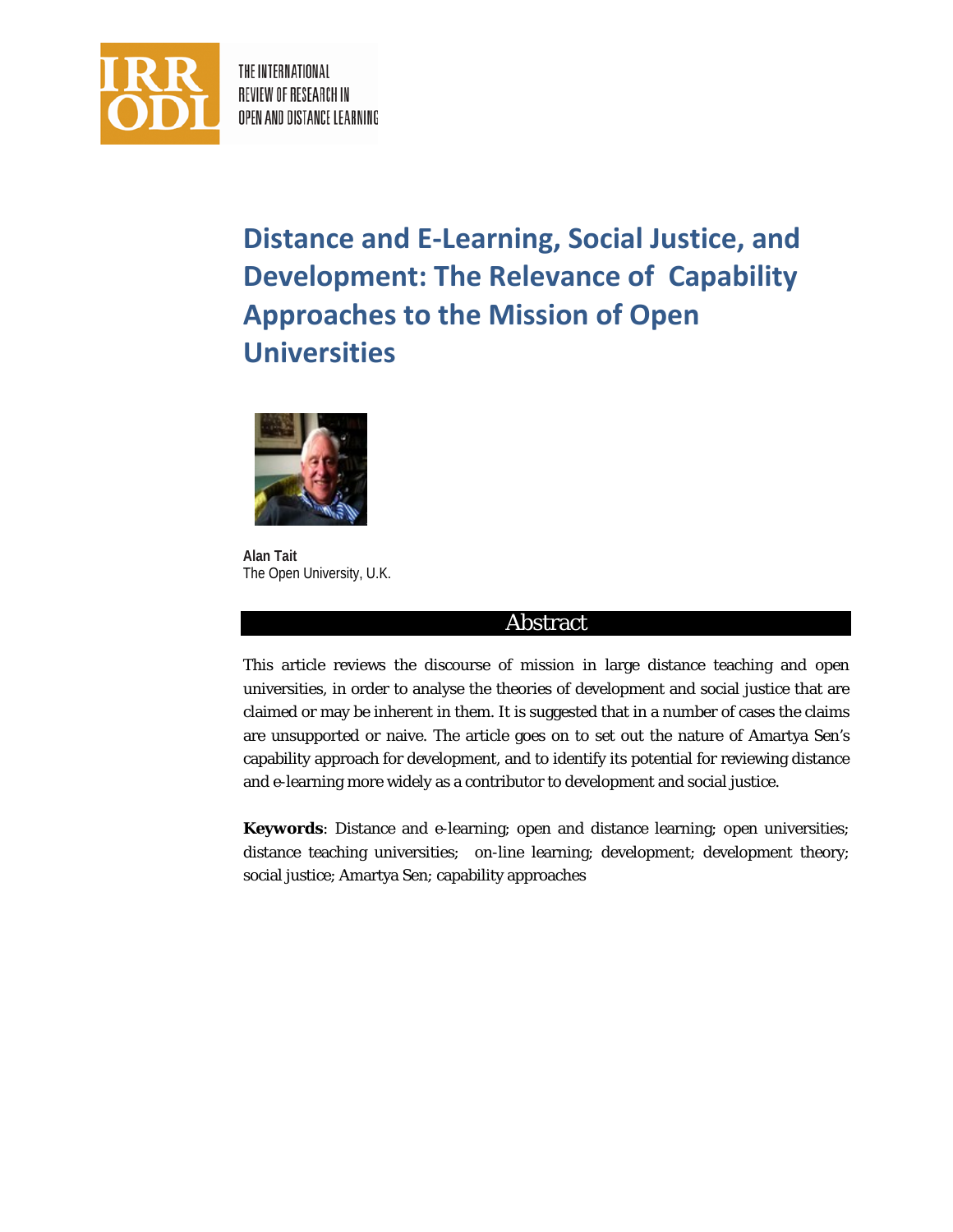

THE INTERNATIONAL REVIEW OF RESEARCH IN OPEN AND DISTANCE LEARNING

**Distance and E-Learning, Social Justice, and Development: The Relevance of Capability Approaches to the Mission of Open Universities**



**Alan Tait** The Open University, U.K.

### Abstract

This article reviews the discourse of mission in large distance teaching and open universities, in order to analyse the theories of development and social justice that are claimed or may be inherent in them. It is suggested that in a number of cases the claims are unsupported or naive. The article goes on to set out the nature of Amartya Sen's capability approach for development, and to identify its potential for reviewing distance and e-learning more widely as a contributor to development and social justice.

**Keywords**: Distance and e-learning; open and distance learning; open universities; distance teaching universities; on-line learning; development; development theory; social justice; Amartya Sen; capability approaches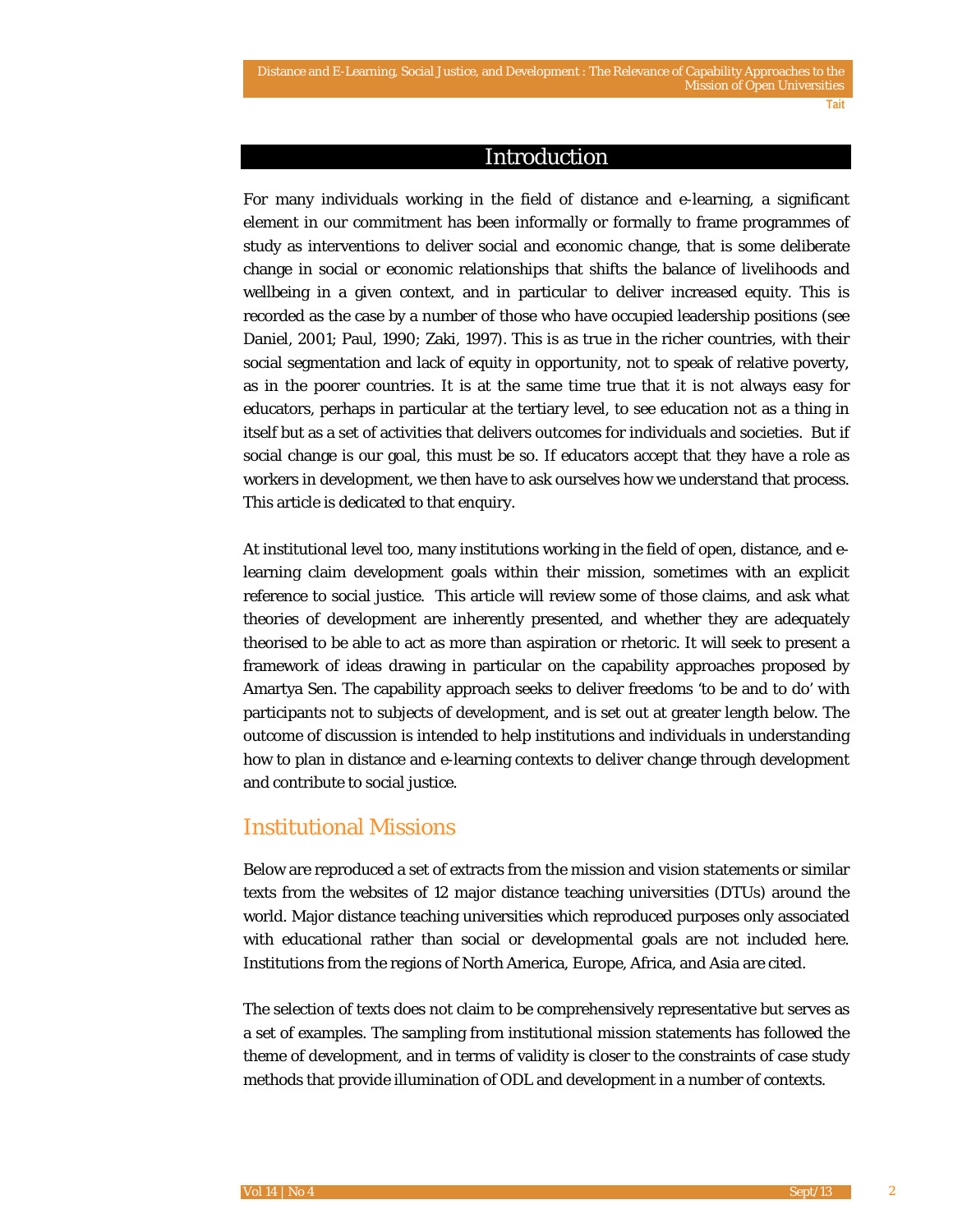### Introduction

For many individuals working in the field of distance and e-learning, a significant element in our commitment has been informally or formally to frame programmes of study as interventions to deliver social and economic change, that is some deliberate change in social or economic relationships that shifts the balance of livelihoods and wellbeing in a given context, and in particular to deliver increased equity. This is recorded as the case by a number of those who have occupied leadership positions (see Daniel, 2001; Paul, 1990; Zaki, 1997). This is as true in the richer countries, with their social segmentation and lack of equity in opportunity, not to speak of relative poverty, as in the poorer countries. It is at the same time true that it is not always easy for educators, perhaps in particular at the tertiary level, to see education not as a thing in itself but as a set of activities that delivers outcomes for individuals and societies. But if social change is our goal, this must be so. If educators accept that they have a role as workers in development, we then have to ask ourselves how we understand that process. This article is dedicated to that enquiry.

At institutional level too, many institutions working in the field of open, distance, and elearning claim development goals within their mission, sometimes with an explicit reference to social justice. This article will review some of those claims, and ask what theories of development are inherently presented, and whether they are adequately theorised to be able to act as more than aspiration or rhetoric. It will seek to present a framework of ideas drawing in particular on the capability approaches proposed by Amartya Sen. The capability approach seeks to deliver freedoms 'to be and to do' *with* participants not *to* subjects of development, and is set out at greater length below. The outcome of discussion is intended to help institutions and individuals in understanding how to plan in distance and e-learning contexts to deliver change through development and contribute to social justice.

### Institutional Missions

Below are reproduced a set of extracts from the mission and vision statements or similar texts from the websites of 12 major distance teaching universities (DTUs) around the world. Major distance teaching universities which reproduced purposes only associated with educational rather than social or developmental goals are not included here. Institutions from the regions of North America, Europe, Africa, and Asia are cited.

The selection of texts does not claim to be comprehensively representative but serves as a set of examples. The sampling from institutional mission statements has followed the theme of development, and in terms of validity is closer to the constraints of case study methods that provide illumination of ODL and development in a number of contexts.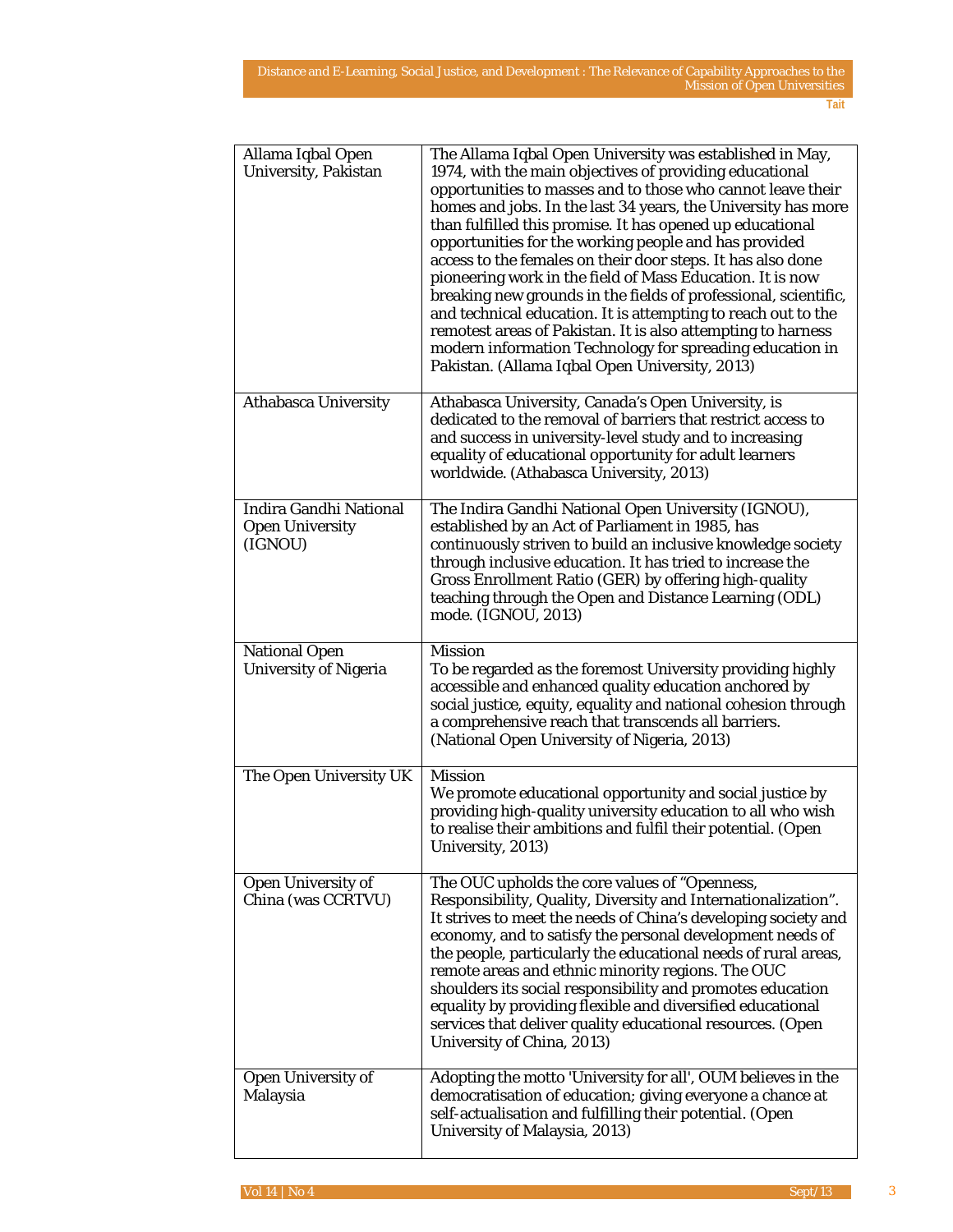| Allama Iqbal Open<br><b>University, Pakistan</b>                   | The Allama Iqbal Open University was established in May,<br>1974, with the main objectives of providing educational<br>opportunities to masses and to those who cannot leave their<br>homes and jobs. In the last 34 years, the University has more<br>than fulfilled this promise. It has opened up educational<br>opportunities for the working people and has provided<br>access to the females on their door steps. It has also done<br>pioneering work in the field of Mass Education. It is now<br>breaking new grounds in the fields of professional, scientific,<br>and technical education. It is attempting to reach out to the<br>remotest areas of Pakistan. It is also attempting to harness<br>modern information Technology for spreading education in<br>Pakistan. (Allama Iqbal Open University, 2013) |
|--------------------------------------------------------------------|-------------------------------------------------------------------------------------------------------------------------------------------------------------------------------------------------------------------------------------------------------------------------------------------------------------------------------------------------------------------------------------------------------------------------------------------------------------------------------------------------------------------------------------------------------------------------------------------------------------------------------------------------------------------------------------------------------------------------------------------------------------------------------------------------------------------------|
| <b>Athabasca University</b>                                        | Athabasca University, Canada's Open University, is<br>dedicated to the removal of barriers that restrict access to<br>and success in university-level study and to increasing<br>equality of educational opportunity for adult learners<br>worldwide. (Athabasca University, 2013)                                                                                                                                                                                                                                                                                                                                                                                                                                                                                                                                      |
| <b>Indira Gandhi National</b><br><b>Open University</b><br>(IGNOU) | The Indira Gandhi National Open University (IGNOU),<br>established by an Act of Parliament in 1985, has<br>continuously striven to build an inclusive knowledge society<br>through inclusive education. It has tried to increase the<br>Gross Enrollment Ratio (GER) by offering high-quality<br>teaching through the Open and Distance Learning (ODL)<br>mode. (IGNOU, 2013)                                                                                                                                                                                                                                                                                                                                                                                                                                           |
| <b>National Open</b><br><b>University of Nigeria</b>               | <b>Mission</b><br>To be regarded as the foremost University providing highly<br>accessible and enhanced quality education anchored by<br>social justice, equity, equality and national cohesion through<br>a comprehensive reach that transcends all barriers.<br>(National Open University of Nigeria, 2013)                                                                                                                                                                                                                                                                                                                                                                                                                                                                                                           |
| The Open University UK                                             | <b>Mission</b><br>We promote educational opportunity and social justice by<br>providing high-quality university education to all who wish<br>to realise their ambitions and fulfil their potential. (Open<br>University, 2013)                                                                                                                                                                                                                                                                                                                                                                                                                                                                                                                                                                                          |
| Open University of<br>China (was CCRTVU)                           | The OUC upholds the core values of "Openness,<br>Responsibility, Quality, Diversity and Internationalization".<br>It strives to meet the needs of China's developing society and<br>economy, and to satisfy the personal development needs of<br>the people, particularly the educational needs of rural areas,<br>remote areas and ethnic minority regions. The OUC<br>shoulders its social responsibility and promotes education<br>equality by providing flexible and diversified educational<br>services that deliver quality educational resources. (Open<br>University of China, 2013)                                                                                                                                                                                                                            |
| <b>Open University of</b><br>Malaysia                              | Adopting the motto 'University for all', OUM believes in the<br>democratisation of education; giving everyone a chance at<br>self-actualisation and fulfilling their potential. (Open<br>University of Malaysia, 2013)                                                                                                                                                                                                                                                                                                                                                                                                                                                                                                                                                                                                  |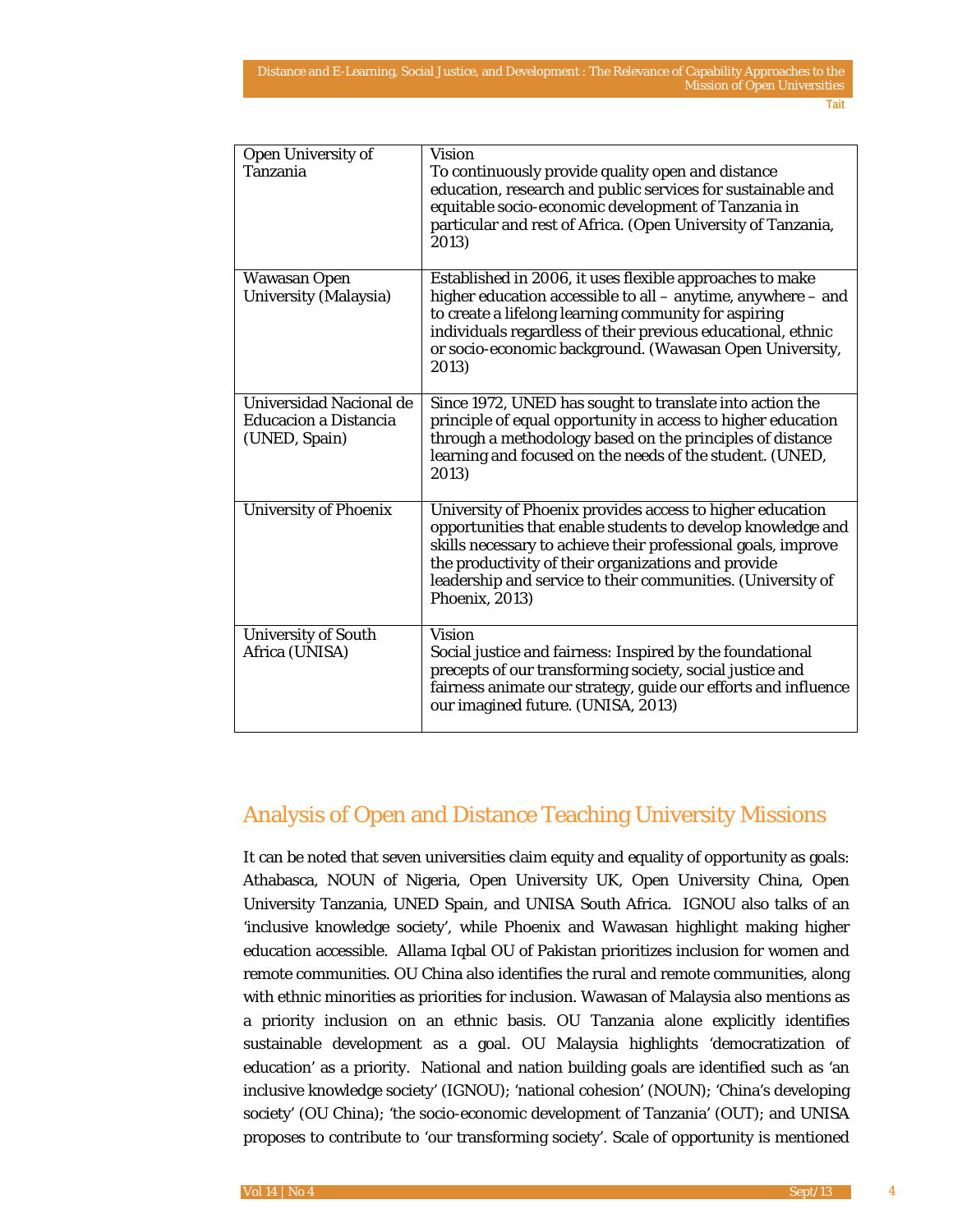| <b>Open University of</b><br>Tanzania                                    | <b>Vision</b><br>To continuously provide quality open and distance<br>education, research and public services for sustainable and<br>equitable socio-economic development of Tanzania in<br>particular and rest of Africa. (Open University of Tanzania,<br>2013)                                                                 |
|--------------------------------------------------------------------------|-----------------------------------------------------------------------------------------------------------------------------------------------------------------------------------------------------------------------------------------------------------------------------------------------------------------------------------|
| <b>Wawasan Open</b><br><b>University (Malaysia)</b>                      | Established in 2006, it uses flexible approaches to make<br>higher education accessible to all - anytime, anywhere - and<br>to create a lifelong learning community for aspiring<br>individuals regardless of their previous educational, ethnic<br>or socio-economic background. (Wawasan Open University,<br>2013)              |
| Universidad Nacional de<br><b>Educacion a Distancia</b><br>(UNED, Spain) | Since 1972, UNED has sought to translate into action the<br>principle of equal opportunity in access to higher education<br>through a methodology based on the principles of distance<br>learning and focused on the needs of the student. (UNED,<br>2013)                                                                        |
| <b>University of Phoenix</b>                                             | University of Phoenix provides access to higher education<br>opportunities that enable students to develop knowledge and<br>skills necessary to achieve their professional goals, improve<br>the productivity of their organizations and provide<br>leadership and service to their communities. (University of<br>Phoenix, 2013) |
| <b>University of South</b><br>Africa (UNISA)                             | <b>Vision</b><br>Social justice and fairness: Inspired by the foundational<br>precepts of our transforming society, social justice and<br>fairness animate our strategy, guide our efforts and influence<br>our imagined future. (UNISA, 2013)                                                                                    |

# Analysis of Open and Distance Teaching University Missions

It can be noted that seven universities claim equity and equality of opportunity as goals: Athabasca, NOUN of Nigeria, Open University UK, Open University China, Open University Tanzania, UNED Spain, and UNISA South Africa. IGNOU also talks of an 'inclusive knowledge society', while Phoenix and Wawasan highlight making higher education accessible. Allama Iqbal OU of Pakistan prioritizes inclusion for women and remote communities. OU China also identifies the rural and remote communities, along with ethnic minorities as priorities for inclusion. Wawasan of Malaysia also mentions as a priority inclusion on an ethnic basis. OU Tanzania alone explicitly identifies sustainable development as a goal. OU Malaysia highlights 'democratization of education' as a priority. National and nation building goals are identified such as 'an inclusive knowledge society' (IGNOU); 'national cohesion' (NOUN); 'China's developing society' (OU China); 'the socio-economic development of Tanzania' (OUT); and UNISA proposes to contribute to 'our transforming society'. Scale of opportunity is mentioned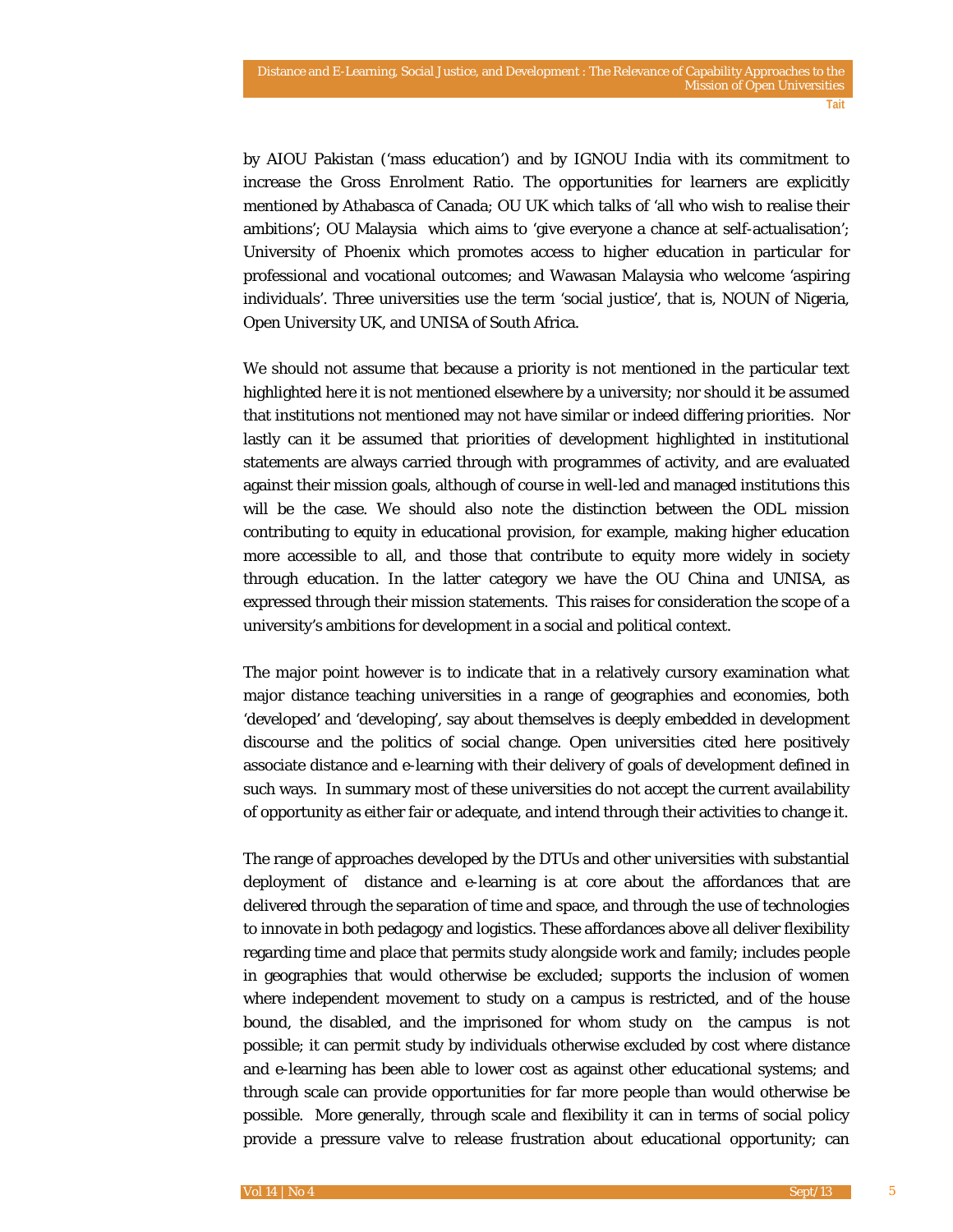by AIOU Pakistan ('mass education') and by IGNOU India with its commitment to increase the Gross Enrolment Ratio. The opportunities for learners are explicitly mentioned by Athabasca of Canada; OU UK which talks of 'all who wish to realise their ambitions'; OU Malaysia which aims to 'give everyone a chance at self-actualisation'; University of Phoenix which promotes access to higher education in particular for professional and vocational outcomes; and Wawasan Malaysia who welcome 'aspiring individuals'. Three universities use the term 'social justice', that is, NOUN of Nigeria, Open University UK, and UNISA of South Africa.

We should not assume that because a priority is not mentioned in the particular text highlighted here it is not mentioned elsewhere by a university; nor should it be assumed that institutions not mentioned may not have similar or indeed differing priorities. Nor lastly can it be assumed that priorities of development highlighted in institutional statements are always carried through with programmes of activity, and are evaluated against their mission goals, although of course in well-led and managed institutions this will be the case. We should also note the distinction between the ODL mission contributing to equity in educational provision, for example, making higher education more accessible to all, and those that contribute to equity more widely in society through education. In the latter category we have the OU China and UNISA, as expressed through their mission statements. This raises for consideration the scope of a university's ambitions for development in a social and political context.

The major point however is to indicate that in a relatively cursory examination what major distance teaching universities in a range of geographies and economies, both 'developed' and 'developing', say about themselves is deeply embedded in development discourse and the politics of social change. Open universities cited here positively associate distance and e-learning with their delivery of goals of development defined in such ways. In summary most of these universities do not accept the current availability of opportunity as either fair or adequate, and intend through their activities to change it.

The range of approaches developed by the DTUs and other universities with substantial deployment of distance and e-learning is at core about the affordances that are delivered through the separation of time and space, and through the use of technologies to innovate in both pedagogy and logistics. These affordances above all deliver flexibility regarding time and place that permits study alongside work and family; includes people in geographies that would otherwise be excluded; supports the inclusion of women where independent movement to study on a campus is restricted, and of the house bound, the disabled, and the imprisoned for whom study on the campus is not possible; it can permit study by individuals otherwise excluded by cost where distance and e-learning has been able to lower cost as against other educational systems; and through scale can provide opportunities for far more people than would otherwise be possible. More generally, through scale and flexibility it can in terms of social policy provide a pressure valve to release frustration about educational opportunity; can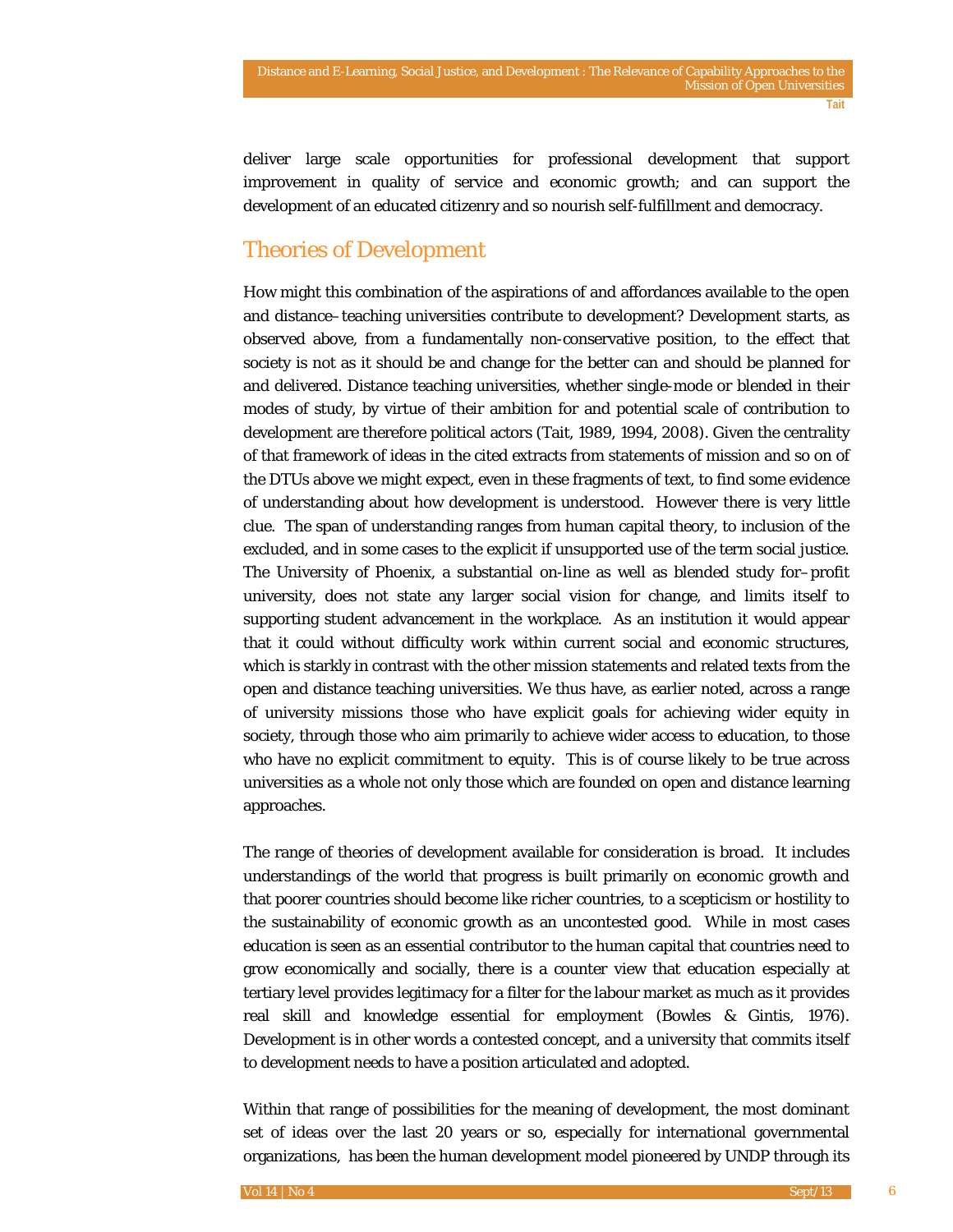deliver large scale opportunities for professional development that support improvement in quality of service and economic growth; and can support the development of an educated citizenry and so nourish self-fulfillment and democracy.

### Theories of Development

How might this combination of the aspirations of and affordances available to the open and distance–teaching universities contribute to development? Development starts, as observed above, from a fundamentally non-conservative position, to the effect that society is not as it should be and change for the better can and should be planned for and delivered. Distance teaching universities, whether single-mode or blended in their modes of study, by virtue of their ambition for and potential scale of contribution to development are therefore political actors (Tait, 1989, 1994, 2008). Given the centrality of that framework of ideas in the cited extracts from statements of mission and so on of the DTUs above we might expect, even in these fragments of text, to find some evidence of understanding about how development is understood. However there is very little clue. The span of understanding ranges from human capital theory, to inclusion of the excluded, and in some cases to the explicit if unsupported use of the term social justice. The University of Phoenix, a substantial on-line as well as blended study for–profit university, does not state any larger social vision for change, and limits itself to supporting student advancement in the workplace. As an institution it would appear that it could without difficulty work within current social and economic structures, which is starkly in contrast with the other mission statements and related texts from the open and distance teaching universities. We thus have, as earlier noted, across a range of university missions those who have explicit goals for achieving wider equity in society, through those who aim primarily to achieve wider access to education, to those who have no explicit commitment to equity. This is of course likely to be true across universities as a whole not only those which are founded on open and distance learning approaches.

The range of theories of development available for consideration is broad. It includes understandings of the world that progress is built primarily on economic growth and that poorer countries should become like richer countries, to a scepticism or hostility to the sustainability of economic growth as an uncontested good. While in most cases education is seen as an essential contributor to the human capital that countries need to grow economically and socially, there is a counter view that education especially at tertiary level provides legitimacy for a filter for the labour market as much as it provides real skill and knowledge essential for employment (Bowles & Gintis, 1976). Development is in other words a contested concept, and a university that commits itself to development needs to have a position articulated and adopted.

Within that range of possibilities for the meaning of development, the most dominant set of ideas over the last 20 years or so, especially for international governmental organizations, has been the human development model pioneered by UNDP through its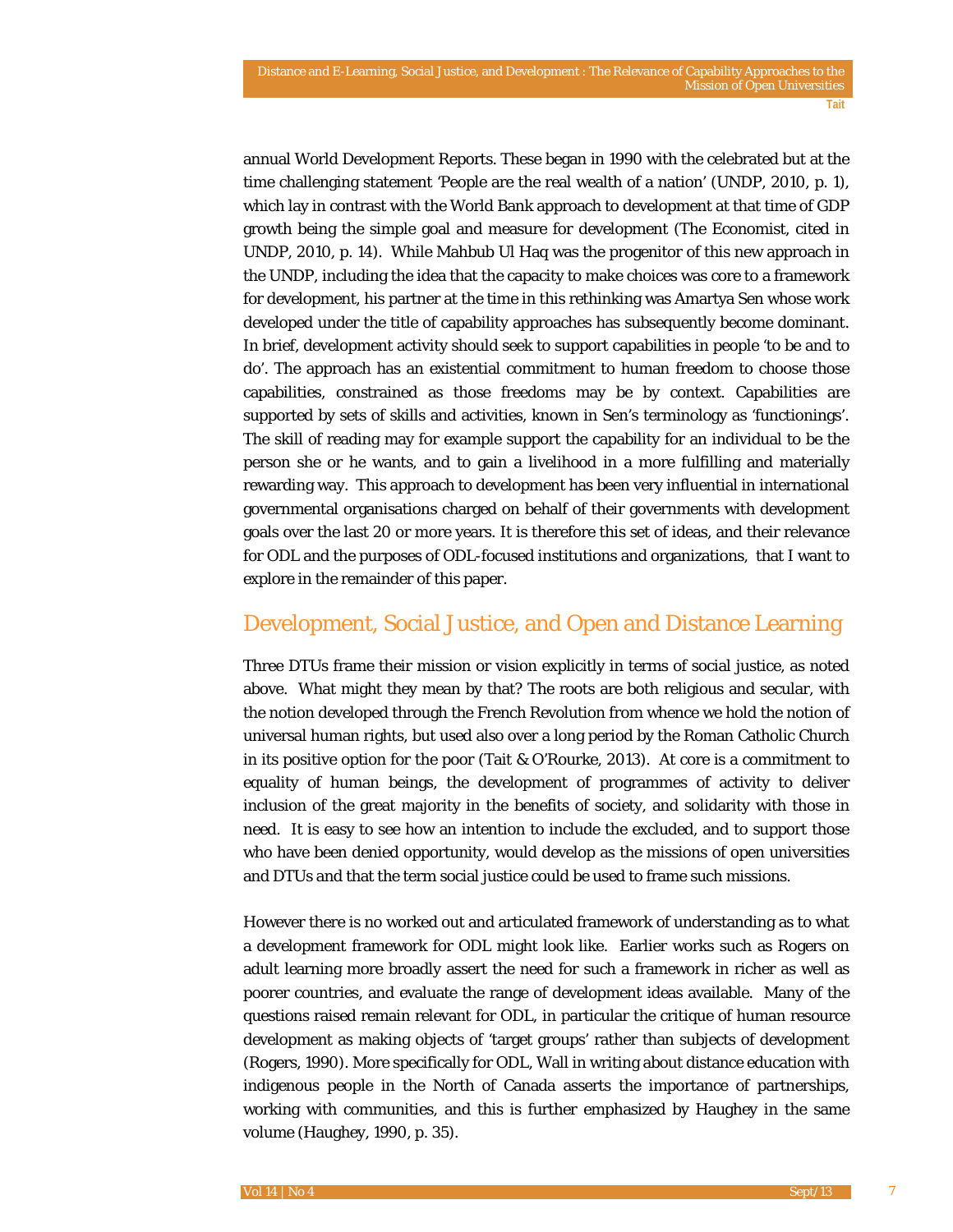annual World Development Reports. These began in 1990 with the celebrated but at the time challenging statement 'People are the real wealth of a nation' (UNDP, 2010, p. 1), which lay in contrast with the World Bank approach to development at that time of GDP growth being the simple goal and measure for development (The Economist, cited in UNDP, 2010, p. 14). While Mahbub Ul Haq was the progenitor of this new approach in the UNDP, including the idea that the capacity to make choices was core to a framework for development, his partner at the time in this rethinking was Amartya Sen whose work developed under the title of capability approaches has subsequently become dominant. In brief, development activity should seek to support capabilities in people 'to be and to do'. The approach has an existential commitment to human freedom to choose those capabilities, constrained as those freedoms may be by context. Capabilities are supported by sets of skills and activities, known in Sen's terminology as 'functionings'. The skill of reading may for example support the capability for an individual to be the person she or he wants, and to gain a livelihood in a more fulfilling and materially rewarding way. This approach to development has been very influential in international governmental organisations charged on behalf of their governments with development goals over the last 20 or more years. It is therefore this set of ideas, and their relevance for ODL and the purposes of ODL-focused institutions and organizations, that I want to explore in the remainder of this paper.

# Development, Social Justice, and Open and Distance Learning

Three DTUs frame their mission or vision explicitly in terms of social justice, as noted above. What might they mean by that? The roots are both religious and secular, with the notion developed through the French Revolution from whence we hold the notion of universal human rights, but used also over a long period by the Roman Catholic Church in its positive option for the poor (Tait & O'Rourke, 2013). At core is a commitment to equality of human beings, the development of programmes of activity to deliver inclusion of the great majority in the benefits of society, and solidarity with those in need. It is easy to see how an intention to include the excluded, and to support those who have been denied opportunity, would develop as the missions of open universities and DTUs and that the term social justice could be used to frame such missions.

However there is no worked out and articulated framework of understanding as to what a development framework for ODL might look like. Earlier works such as Rogers on adult learning more broadly assert the need for such a framework in richer as well as poorer countries, and evaluate the range of development ideas available. Many of the questions raised remain relevant for ODL, in particular the critique of human resource development as making objects of 'target groups' rather than subjects of development (Rogers, 1990). More specifically for ODL, Wall in writing about distance education with indigenous people in the North of Canada asserts the importance of partnerships, working with communities, and this is further emphasized by Haughey in the same volume (Haughey, 1990, p. 35).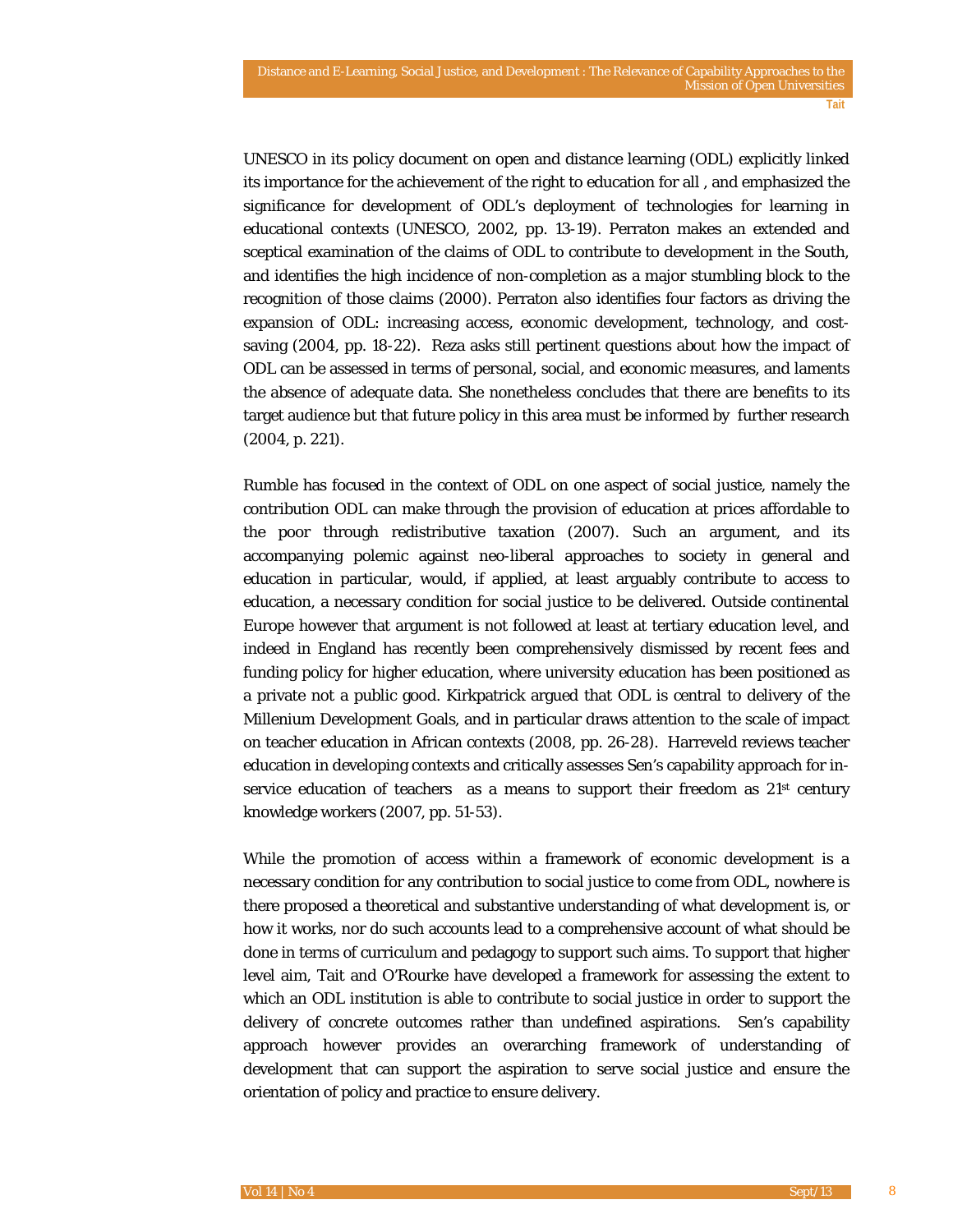UNESCO in its policy document on open and distance learning (ODL) explicitly linked its importance for the achievement of the right to education for all , and emphasized the significance for development of ODL's deployment of technologies for learning in educational contexts (UNESCO, 2002, pp. 13-19). Perraton makes an extended and sceptical examination of the claims of ODL to contribute to development in the South, and identifies the high incidence of non-completion as a major stumbling block to the recognition of those claims (2000). Perraton also identifies four factors as driving the expansion of ODL: increasing access, economic development, technology, and costsaving (2004, pp. 18-22). Reza asks still pertinent questions about how the impact of ODL can be assessed in terms of personal, social, and economic measures, and laments the absence of adequate data. She nonetheless concludes that there are benefits to its target audience but that future policy in this area must be informed by further research (2004, p. 221).

Rumble has focused in the context of ODL on one aspect of social justice, namely the contribution ODL can make through the provision of education at prices affordable to the poor through redistributive taxation (2007). Such an argument, and its accompanying polemic against neo-liberal approaches to society in general and education in particular, would, if applied, at least arguably contribute to access to education, a necessary condition for social justice to be delivered. Outside continental Europe however that argument is not followed at least at tertiary education level, and indeed in England has recently been comprehensively dismissed by recent fees and funding policy for higher education, where university education has been positioned as a private not a public good. Kirkpatrick argued that ODL is central to delivery of the Millenium Development Goals, and in particular draws attention to the scale of impact on teacher education in African contexts (2008, pp. 26-28). Harreveld reviews teacher education in developing contexts and critically assesses Sen's capability approach for inservice education of teachers as a means to support their freedom as  $21<sup>st</sup>$  century knowledge workers (2007, pp. 51-53).

While the promotion of access within a framework of economic development is a necessary condition for any contribution to social justice to come from ODL, nowhere is there proposed a theoretical and substantive understanding of what development is, or how it works, nor do such accounts lead to a comprehensive account of what should be done in terms of curriculum and pedagogy to support such aims. To support that higher level aim, Tait and O'Rourke have developed a framework for assessing the extent to which an ODL institution is able to contribute to social justice in order to support the delivery of concrete outcomes rather than undefined aspirations. Sen's capability approach however provides an overarching framework of understanding of development that can support the aspiration to serve social justice and ensure the orientation of policy and practice to ensure delivery.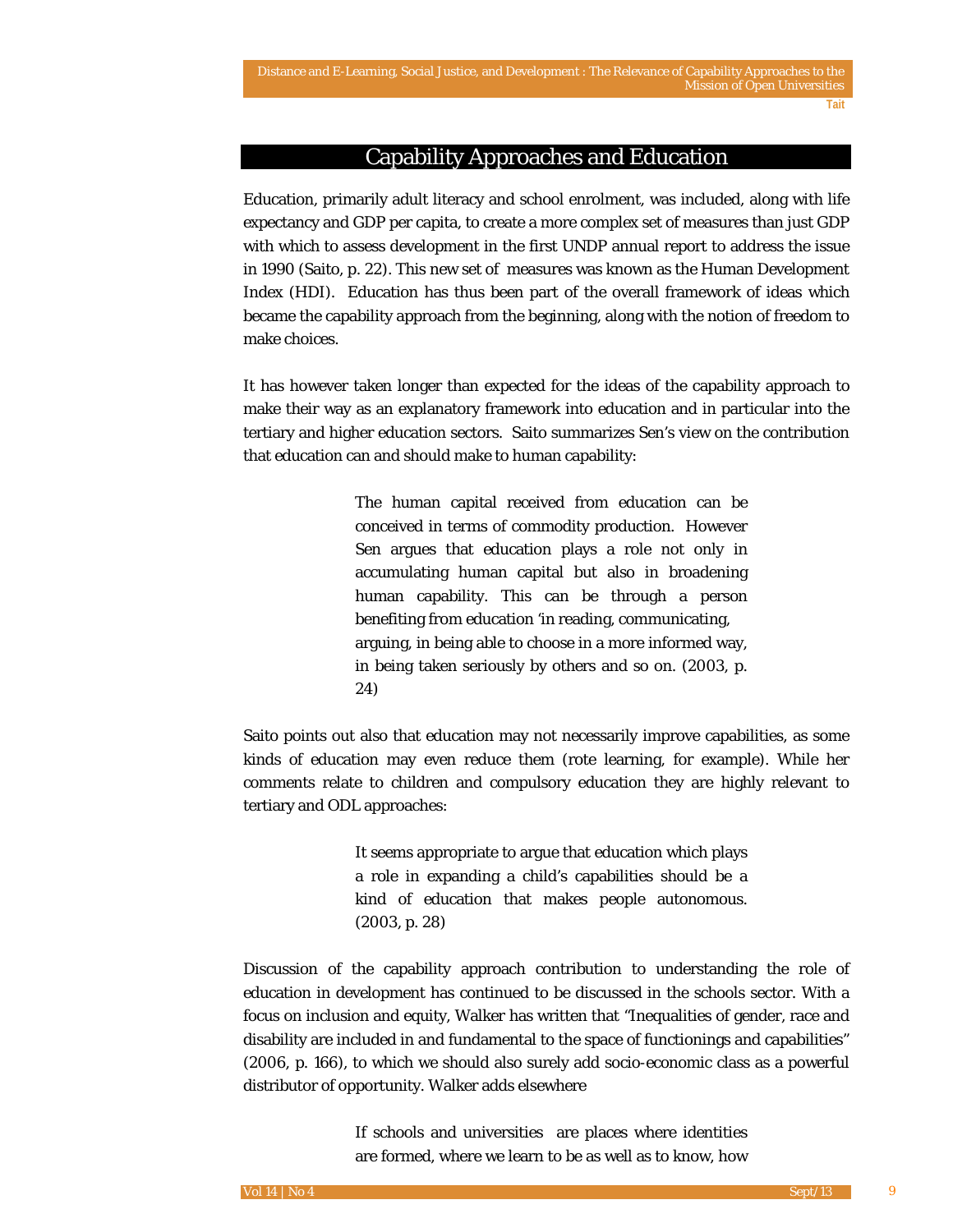### Capability Approaches and Education

Education, primarily adult literacy and school enrolment, was included, along with life expectancy and GDP per capita, to create a more complex set of measures than just GDP with which to assess development in the first UNDP annual report to address the issue in 1990 (Saito, p. 22). This new set of measures was known as the Human Development Index (HDI). Education has thus been part of the overall framework of ideas which became the capability approach from the beginning, along with the notion of freedom to make choices.

It has however taken longer than expected for the ideas of the capability approach to make their way as an explanatory framework into education and in particular into the tertiary and higher education sectors. Saito summarizes Sen's view on the contribution that education can and should make to human capability:

> The human capital received from education can be conceived in terms of commodity production. However Sen argues that education plays a role not only in accumulating human capital but also in broadening human capability. This can be through a person benefiting from education 'in reading, communicating, arguing, in being able to choose in a more informed way, in being taken seriously by others and so on. (2003, p. 24)

Saito points out also that education may not necessarily improve capabilities, as some kinds of education may even reduce them (rote learning, for example). While her comments relate to children and compulsory education they are highly relevant to tertiary and ODL approaches:

> It seems appropriate to argue that education which plays a role in expanding a child's capabilities should be a kind of education that makes people autonomous. (2003, p. 28)

Discussion of the capability approach contribution to understanding the role of education in development has continued to be discussed in the schools sector. With a focus on inclusion and equity, Walker has written that "Inequalities of gender, race and disability are included in and fundamental to the space of functionings and capabilities" (2006, p. 166), to which we should also surely add socio-economic class as a powerful distributor of opportunity. Walker adds elsewhere

> If schools and universities are places where identities are formed, where we learn to be as well as to know, how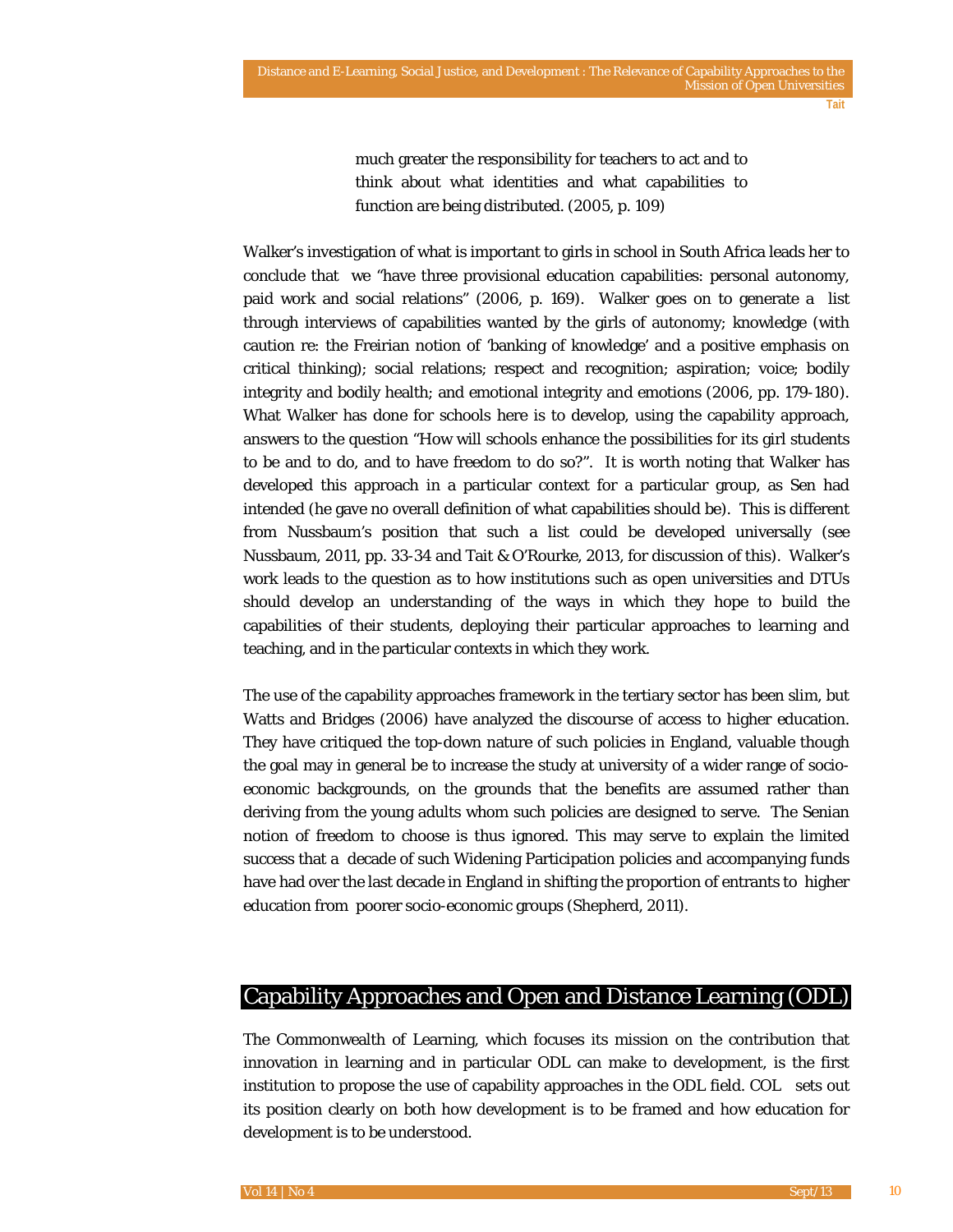much greater the responsibility for teachers to act and to think about what identities and what capabilities to function are being distributed. (2005, p. 109)

Walker's investigation of what is important to girls in school in South Africa leads her to conclude that we "have three provisional education capabilities: personal autonomy, paid work and social relations" (2006, p. 169). Walker goes on to generate a list through interviews of capabilities wanted by the girls of autonomy; knowledge (with caution re: the Freirian notion of 'banking of knowledge' and a positive emphasis on critical thinking); social relations; respect and recognition; aspiration; voice; bodily integrity and bodily health; and emotional integrity and emotions (2006, pp. 179-180). What Walker has done for schools here is to develop, using the capability approach, answers to the question "How will schools enhance the possibilities for its girl students to be and to do, and to have freedom to do so?". It is worth noting that Walker has developed this approach in a particular context for a particular group, as Sen had intended (he gave no overall definition of what capabilities should be). This is different from Nussbaum's position that such a list could be developed universally (see Nussbaum, 2011, pp. 33-34 and Tait & O'Rourke, 2013, for discussion of this). Walker's work leads to the question as to how institutions such as open universities and DTUs should develop an understanding of the ways in which they hope to build the capabilities of their students, deploying their particular approaches to learning and teaching, and in the particular contexts in which they work.

The use of the capability approaches framework in the tertiary sector has been slim, but Watts and Bridges (2006) have analyzed the discourse of access to higher education. They have critiqued the top-down nature of such policies in England, valuable though the goal may in general be to increase the study at university of a wider range of socioeconomic backgrounds, on the grounds that the benefits are assumed rather than deriving from the young adults whom such policies are designed to serve. The Senian notion of freedom to choose is thus ignored. This may serve to explain the limited success that a decade of such Widening Participation policies and accompanying funds have had over the last decade in England in shifting the proportion of entrants to higher education from poorer socio-economic groups (Shepherd, 2011).

### Capability Approaches and Open and Distance Learning (ODL)

The Commonwealth of Learning, which focuses its mission on the contribution that innovation in learning and in particular ODL can make to development, is the first institution to propose the use of capability approaches in the ODL field. COL sets out its position clearly on both how development is to be framed and how education for development is to be understood.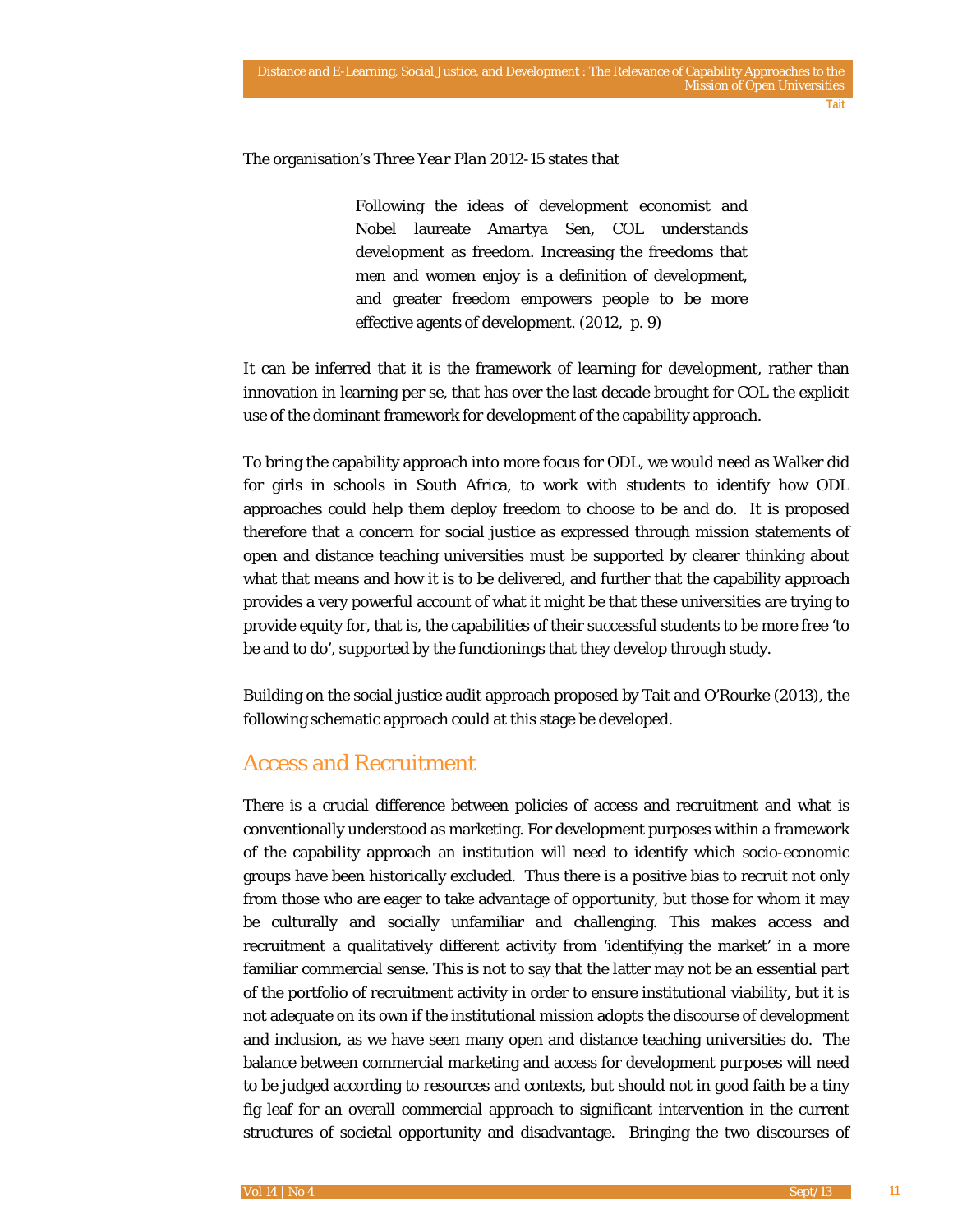#### The organisation's *Three Year Plan 2012-15* states that

Following the ideas of development economist and Nobel laureate Amartya Sen, COL understands development as freedom. Increasing the freedoms that men and women enjoy is a definition of development, and greater freedom empowers people to be more effective agents of development. (2012, p. 9)

It can be inferred that it is the framework of learning for development, rather than innovation in learning per se, that has over the last decade brought for COL the explicit use of the dominant framework for development of the capability approach.

To bring the capability approach into more focus for ODL, we would need as Walker did for girls in schools in South Africa, to work with students to identify how ODL approaches could help them deploy freedom to choose to be and do. It is proposed therefore that a concern for social justice as expressed through mission statements of open and distance teaching universities must be supported by clearer thinking about what that means and how it is to be delivered, and further that the capability approach provides a very powerful account of what it might be that these universities are trying to provide equity for, that is, the capabilities of their successful students to be more free 'to be and to do', supported by the functionings that they develop through study.

Building on the social justice audit approach proposed by Tait and O'Rourke (2013), the following schematic approach could at this stage be developed.

### Access and Recruitment

There is a crucial difference between policies of access and recruitment and what is conventionally understood as marketing. For development purposes within a framework of the capability approach an institution will need to identify which socio-economic groups have been historically excluded. Thus there is a positive bias to recruit not only from those who are eager to take advantage of opportunity, but those for whom it may be culturally and socially unfamiliar and challenging. This makes access and recruitment a qualitatively different activity from 'identifying the market' in a more familiar commercial sense. This is not to say that the latter may not be an essential part of the portfolio of recruitment activity in order to ensure institutional viability, but it is not adequate on its own if the institutional mission adopts the discourse of development and inclusion, as we have seen many open and distance teaching universities do. The balance between commercial marketing and access for development purposes will need to be judged according to resources and contexts, but should not in good faith be a tiny fig leaf for an overall commercial approach to significant intervention in the current structures of societal opportunity and disadvantage. Bringing the two discourses of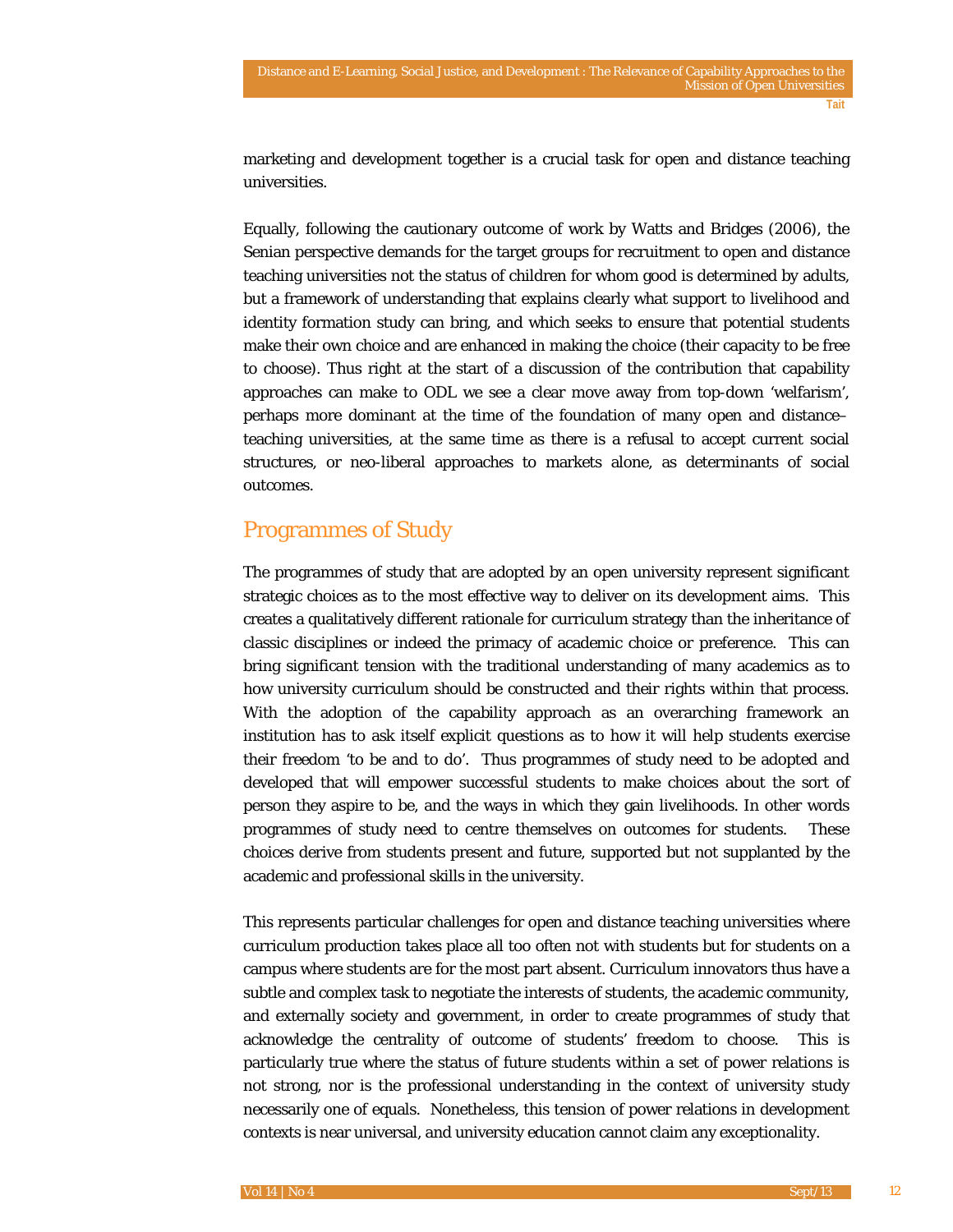marketing and development together is a crucial task for open and distance teaching universities.

Equally, following the cautionary outcome of work by Watts and Bridges (2006), the Senian perspective demands for the target groups for recruitment to open and distance teaching universities not the status of children for whom good is determined by adults, but a framework of understanding that explains clearly what support to livelihood and identity formation study can bring, and which seeks to ensure that potential students make their own choice and are enhanced in making the choice (their capacity to be free to choose). Thus right at the start of a discussion of the contribution that capability approaches can make to ODL we see a clear move away from top-down 'welfarism', perhaps more dominant at the time of the foundation of many open and distance– teaching universities, at the same time as there is a refusal to accept current social structures, or neo-liberal approaches to markets alone, as determinants of social outcomes.

# Programmes of Study

The programmes of study that are adopted by an open university represent significant strategic choices as to the most effective way to deliver on its development aims. This creates a qualitatively different rationale for curriculum strategy than the inheritance of classic disciplines or indeed the primacy of academic choice or preference. This can bring significant tension with the traditional understanding of many academics as to how university curriculum should be constructed and their rights within that process. With the adoption of the capability approach as an overarching framework an institution has to ask itself explicit questions as to how it will help students exercise their freedom 'to be and to do'. Thus programmes of study need to be adopted and developed that will empower successful students to make choices about the sort of person they aspire to be, and the ways in which they gain livelihoods. In other words programmes of study need to centre themselves on outcomes for students. These choices derive from students present and future, supported but not supplanted by the academic and professional skills in the university.

This represents particular challenges for open and distance teaching universities where curriculum production takes place all too often not with students but for students on a campus where students are for the most part absent. Curriculum innovators thus have a subtle and complex task to negotiate the interests of students, the academic community, and externally society and government, in order to create programmes of study that acknowledge the centrality of outcome of students' freedom to choose. This is particularly true where the status of future students within a set of power relations is not strong, nor is the professional understanding in the context of university study necessarily one of equals. Nonetheless, this tension of power relations in development contexts is near universal, and university education cannot claim any exceptionality.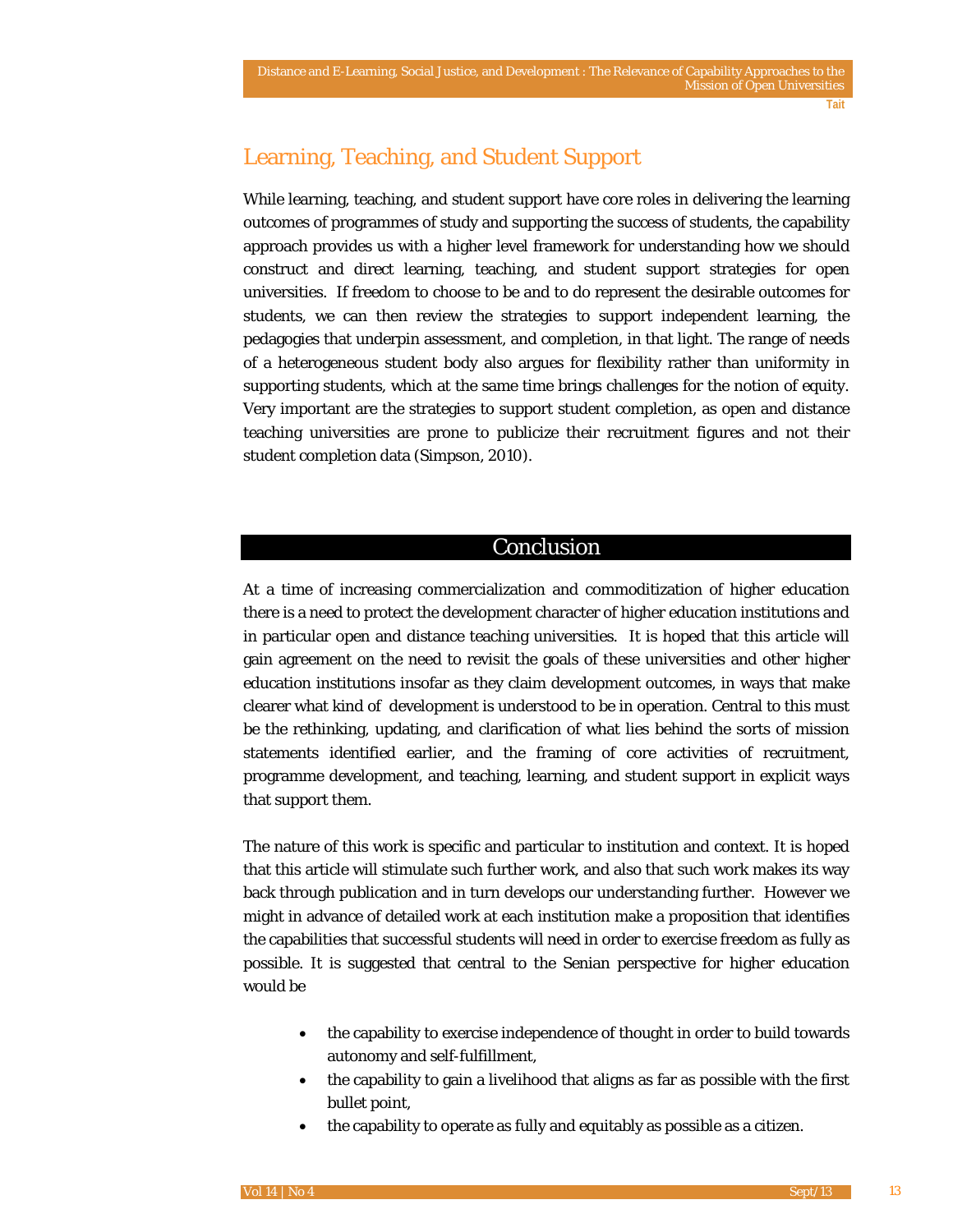# Learning, Teaching, and Student Support

While learning, teaching, and student support have core roles in delivering the learning outcomes of programmes of study and supporting the success of students, the capability approach provides us with a higher level framework for understanding how we should construct and direct learning, teaching, and student support strategies for open universities. If freedom to choose to be and to do represent the desirable outcomes for students, we can then review the strategies to support independent learning, the pedagogies that underpin assessment, and completion, in that light. The range of needs of a heterogeneous student body also argues for flexibility rather than uniformity in supporting students, which at the same time brings challenges for the notion of equity. Very important are the strategies to support student completion, as open and distance teaching universities are prone to publicize their recruitment figures and not their student completion data (Simpson, 2010).

### Conclusion

At a time of increasing commercialization and commoditization of higher education there is a need to protect the development character of higher education institutions and in particular open and distance teaching universities. It is hoped that this article will gain agreement on the need to revisit the goals of these universities and other higher education institutions insofar as they claim development outcomes, in ways that make clearer what kind of development is understood to be in operation. Central to this must be the rethinking, updating, and clarification of what lies behind the sorts of mission statements identified earlier, and the framing of core activities of recruitment, programme development, and teaching, learning, and student support in explicit ways that support them.

The nature of this work is specific and particular to institution and context. It is hoped that this article will stimulate such further work, and also that such work makes its way back through publication and in turn develops our understanding further. However we might in advance of detailed work at each institution make a proposition that identifies the capabilities that successful students will need in order to exercise freedom as fully as possible. It is suggested that central to the Senian perspective for higher education would be

- the capability to exercise independence of thought in order to build towards autonomy and self-fulfillment,
- the capability to gain a livelihood that aligns as far as possible with the first bullet point,
- the capability to operate as fully and equitably as possible as a citizen.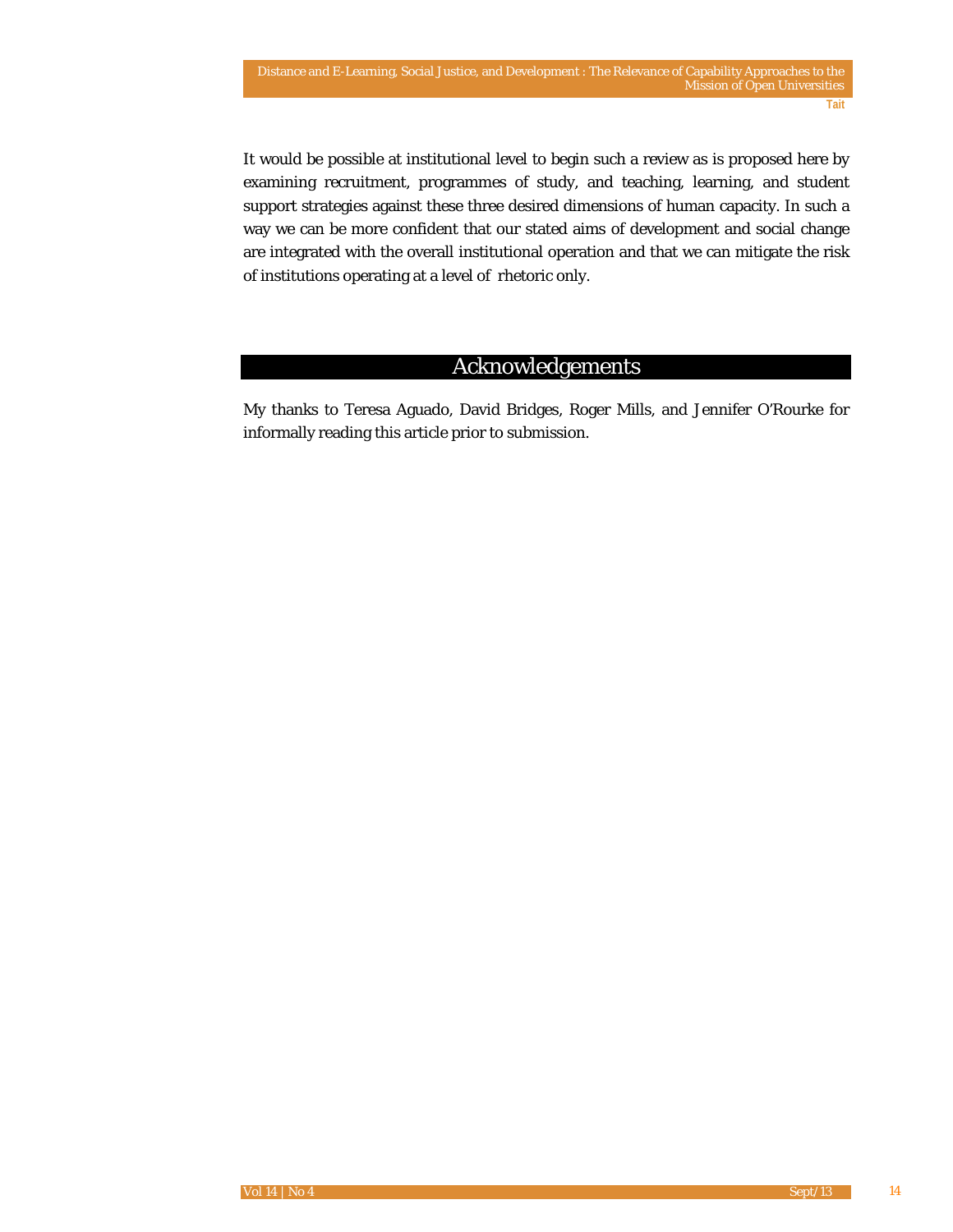It would be possible at institutional level to begin such a review as is proposed here by examining recruitment, programmes of study, and teaching, learning, and student support strategies against these three desired dimensions of human capacity. In such a way we can be more confident that our stated aims of development and social change are integrated with the overall institutional operation and that we can mitigate the risk of institutions operating at a level of rhetoric only.

# Acknowledgements

My thanks to Teresa Aguado, David Bridges, Roger Mills, and Jennifer O'Rourke for informally reading this article prior to submission.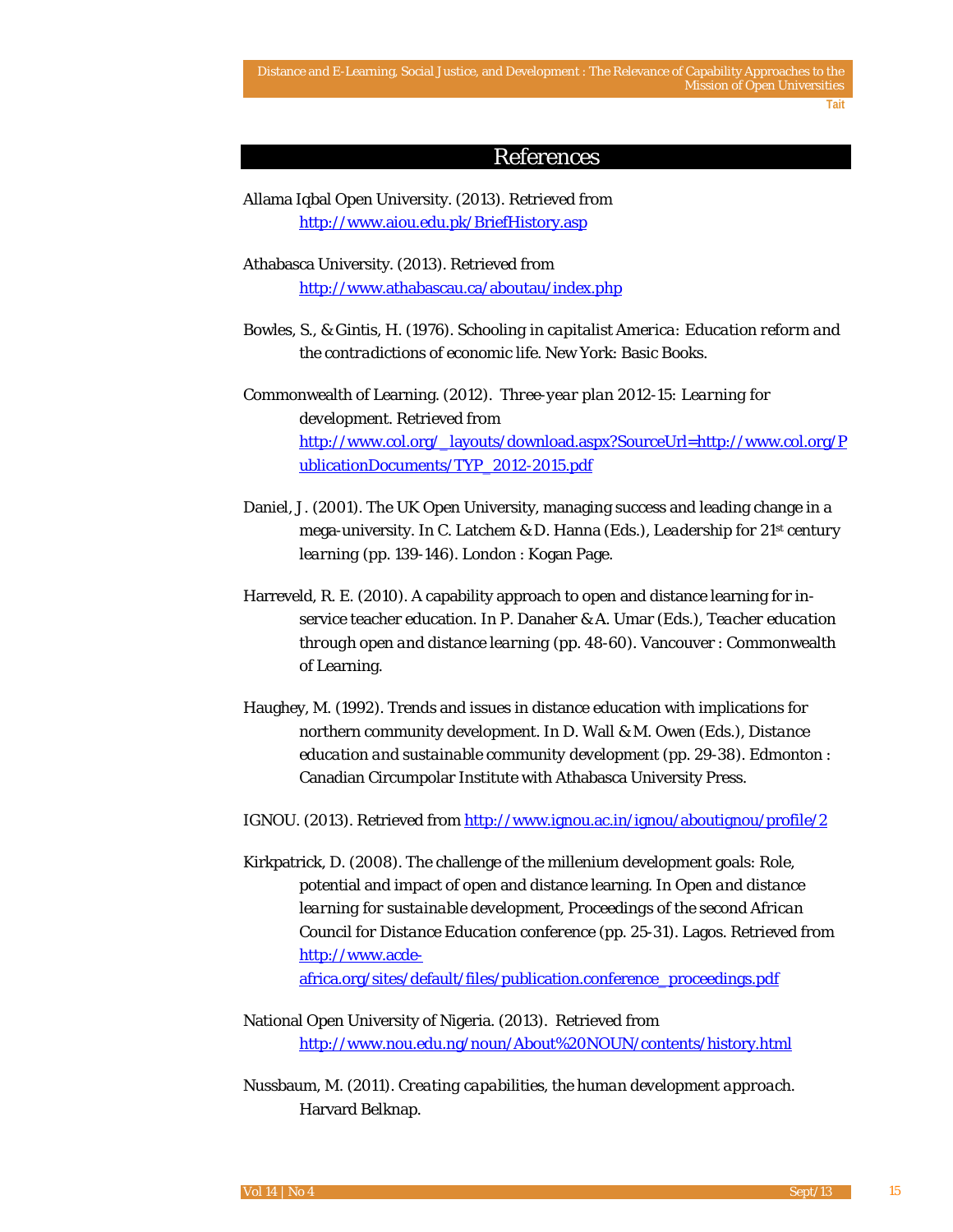#### References

- Allama Iqbal Open University. (2013). Retrieved from [http://www.aiou.edu.pk/BriefHistory.asp](https://legacy.open.ac.uk/owa/redir.aspx?C=fH8s0SlXn0qlvZlH8PzqNzoFlrdz3c9Ixk5h6h1EZA3PJpU7cOA1-5DS6cb5JsXzKQZ6M6eWMHM.&URL=http%3a%2f%2fwww.aiou.edu.pk%2fBriefHistory.asp)
- Athabasca University. (2013). Retrieved from [http://www.athabascau.ca/aboutau/index.php](https://legacy.open.ac.uk/owa/redir.aspx?C=fH8s0SlXn0qlvZlH8PzqNzoFlrdz3c9Ixk5h6h1EZA3PJpU7cOA1-5DS6cb5JsXzKQZ6M6eWMHM.&URL=http%3a%2f%2fwww.athabascau.ca%2faboutau%2findex.php)
- Bowles, S., & Gintis, H. (1976). *Schooling in capitalist America: Education reform and the contradictions of economic life*. New York: Basic Books.

Commonwealth of Learning. (2012). *Three-year plan 2012-15: Learning for development*. Retrieved from [http://www.col.org/\\_layouts/download.aspx?SourceUrl=http://www.col.org/P](https://legacy.open.ac.uk/owa/redir.aspx?C=W7H5YHa3pk29Oi3-o6c6FgAeGtPi489Ip2UGMmVD07cHaM3yQsUUK8gfSjzbKsWltpU5CJBssP4.&URL=http%3a%2f%2fwww.col.org%2f_layouts%2fdownload.aspx%3fSourceUrl%3dhttp%3a%2f%2fwww.col.org%2fPublicationDocuments%2fTYP_2012-2015.pdf) [ublicationDocuments/TYP\\_2012-2015.pdf](https://legacy.open.ac.uk/owa/redir.aspx?C=W7H5YHa3pk29Oi3-o6c6FgAeGtPi489Ip2UGMmVD07cHaM3yQsUUK8gfSjzbKsWltpU5CJBssP4.&URL=http%3a%2f%2fwww.col.org%2f_layouts%2fdownload.aspx%3fSourceUrl%3dhttp%3a%2f%2fwww.col.org%2fPublicationDocuments%2fTYP_2012-2015.pdf) 

- Daniel, J. (2001). The UK Open University, managing success and leading change in a mega-university. In C. Latchem & D. Hanna (Eds.), *Leadership for 21st century learning* (pp. 139-146). London : Kogan Page.
- Harreveld, R. E. (2010). A capability approach to open and distance learning for inservice teacher education. In P. Danaher & A. Umar (Eds.), *Teacher education through open and distance learning* (pp. 48-60). Vancouver : Commonwealth of Learning.
- Haughey, M. (1992). Trends and issues in distance education with implications for northern community development. In D. Wall & M. Owen (Eds.), *Distance education and sustainable community development* (pp. 29-38). Edmonton : Canadian Circumpolar Institute with Athabasca University Press.

IGNOU. (2013). Retrieved from [http://www.ignou.ac.in/ignou/aboutignou/profile/2](https://legacy.open.ac.uk/owa/redir.aspx?C=fH8s0SlXn0qlvZlH8PzqNzoFlrdz3c9Ixk5h6h1EZA3PJpU7cOA1-5DS6cb5JsXzKQZ6M6eWMHM.&URL=http%3a%2f%2fwww.ignou.ac.in%2fignou%2faboutignou%2fprofile%2f2)

- Kirkpatrick, D. (2008). The challenge of the millenium development goals: Role, potential and impact of open and distance learning. In *Open and distance learning for sustainable development, Proceedings of the second African Council for Distance Education conference* (pp. 25-31). Lagos. Retrieved from [http://www.acde](http://www.acde-africa.org/sites/default/files/publication.conference_proceedings.pdf)[africa.org/sites/default/files/publication.conference\\_proceedings.pdf](http://www.acde-africa.org/sites/default/files/publication.conference_proceedings.pdf)
- National Open University of Nigeria. (2013). Retrieved from [http://www.nou.edu.ng/noun/About%20NOUN/contents/history.html](https://legacy.open.ac.uk/owa/redir.aspx?C=fH8s0SlXn0qlvZlH8PzqNzoFlrdz3c9Ixk5h6h1EZA3PJpU7cOA1-5DS6cb5JsXzKQZ6M6eWMHM.&URL=http%3a%2f%2fwww.nou.edu.ng%2fnoun%2fAbout%2520NOUN%2fcontents%2fhistory.html)
- Nussbaum, M. (2011). *Creating capabilities, the human development approach*. Harvard Belknap.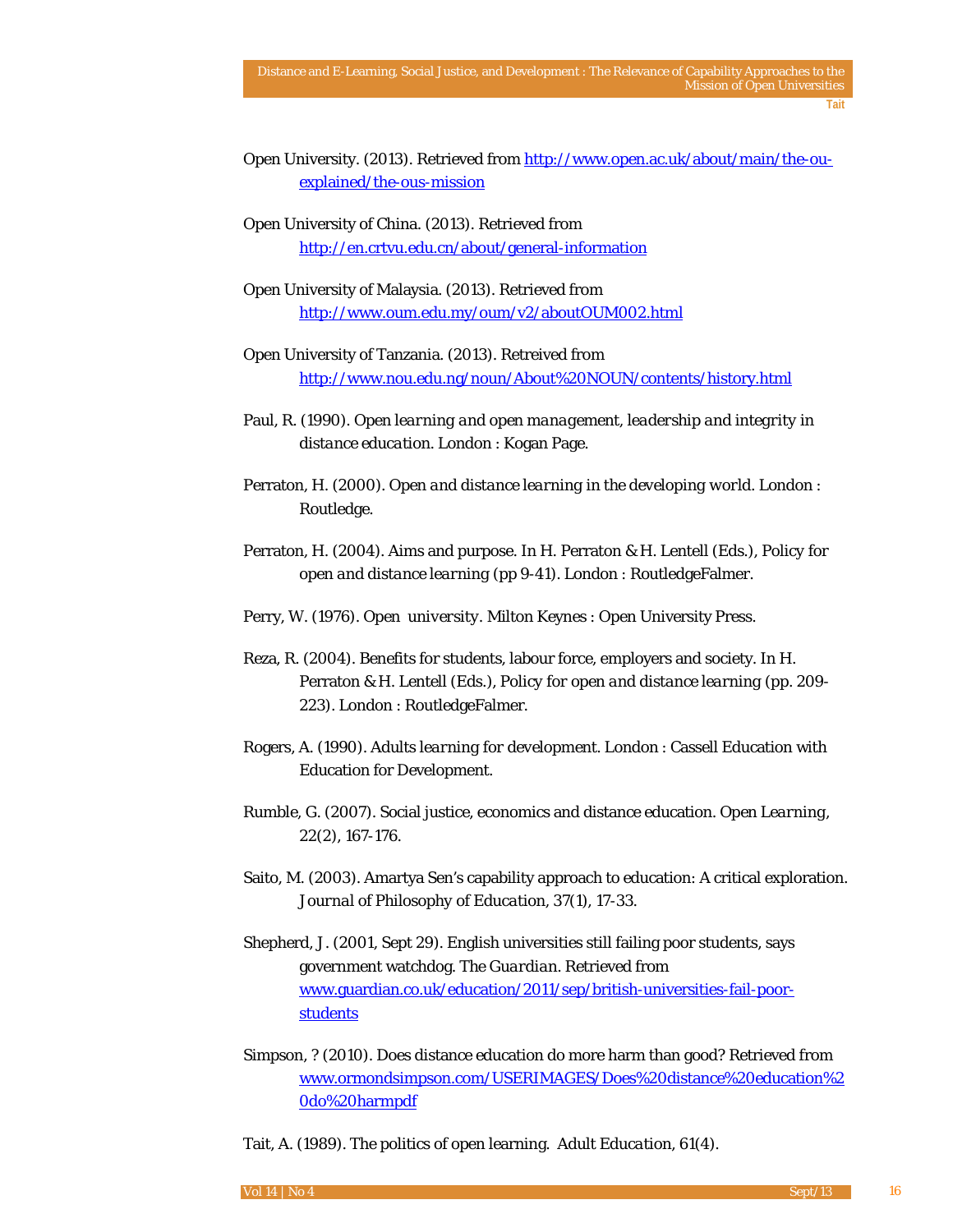- Open University. (2013). Retrieved from [http://www.open.ac.uk/about/main/the-ou](https://legacy.open.ac.uk/owa/redir.aspx?C=fH8s0SlXn0qlvZlH8PzqNzoFlrdz3c9Ixk5h6h1EZA3PJpU7cOA1-5DS6cb5JsXzKQZ6M6eWMHM.&URL=http%3a%2f%2fwww.open.ac.uk%2fabout%2fmain%2fthe-ou-explained%2fthe-ous-mission)[explained/the-ous-mission](https://legacy.open.ac.uk/owa/redir.aspx?C=fH8s0SlXn0qlvZlH8PzqNzoFlrdz3c9Ixk5h6h1EZA3PJpU7cOA1-5DS6cb5JsXzKQZ6M6eWMHM.&URL=http%3a%2f%2fwww.open.ac.uk%2fabout%2fmain%2fthe-ou-explained%2fthe-ous-mission)
- Open University of China. (2013). Retrieved from <http://en.crtvu.edu.cn/about/general-information>
- Open University of Malaysia. (2013). Retrieved from [http://www.oum.edu.my/oum/v2/aboutOUM002.html](https://legacy.open.ac.uk/owa/redir.aspx?C=fH8s0SlXn0qlvZlH8PzqNzoFlrdz3c9Ixk5h6h1EZA3PJpU7cOA1-5DS6cb5JsXzKQZ6M6eWMHM.&URL=http%3a%2f%2fwww.oum.edu.my%2foum%2fv2%2faboutOUM002.html)
- Open University of Tanzania. (2013). Retreived from [http://www.nou.edu.ng/noun/About%20NOUN/contents/history.html](https://legacy.open.ac.uk/owa/redir.aspx?C=fH8s0SlXn0qlvZlH8PzqNzoFlrdz3c9Ixk5h6h1EZA3PJpU7cOA1-5DS6cb5JsXzKQZ6M6eWMHM.&URL=http%3a%2f%2fwww.nou.edu.ng%2fnoun%2fAbout%2520NOUN%2fcontents%2fhistory.html)
- Paul, R. (1990). *Open learning and open management, leadership and integrity in distance education*. London : Kogan Page.
- Perraton, H. (2000). *Open and distance learning in the developing world*. London : Routledge.
- Perraton, H. (2004). Aims and purpose. In H. Perraton & H. Lentell (Eds.), *Policy for open and distance learning* (pp 9-41). London : RoutledgeFalmer.
- Perry, W. (1976). *Open university*. Milton Keynes : Open University Press.
- Reza, R. (2004). Benefits for students, labour force, employers and society. In H. Perraton & H. Lentell (Eds.), *Policy for open and distance learning* (pp. 209- 223). London : RoutledgeFalmer.
- Rogers, A. (1990). *Adults learning for development*. London : Cassell Education with Education for Development.
- Rumble, G. (2007). Social justice, economics and distance education. *Open Learning, 22*(2), 167-176.
- Saito, M. (2003). Amartya Sen's capability approach to education: A critical exploration. *Journal of Philosophy of Education*, *37*(1), 17-33.
- Shepherd, J. (2001, Sept 29). English universities still failing poor students, says government watchdog. *The Guardian*. Retrieved from [www.guardian.co.uk/education/2011/sep/british-universities-fail-poor](http://www.guardian.co.uk/education/2011/sep/british-universities-fail-poor-students)[students](http://www.guardian.co.uk/education/2011/sep/british-universities-fail-poor-students)
- Simpson, ? (2010). Does distance education do more harm than good? Retrieved from [www.ormondsimpson.com/USERIMAGES/Does%20distance%20education%2](http://www.ormondsimpson.com/USERIMAGES/Does%20distance%20education%20do%20harmpdf) [0do%20harmpdf](http://www.ormondsimpson.com/USERIMAGES/Does%20distance%20education%20do%20harmpdf)
- Tait, A. (1989). The politics of open learning. *Adult Education*, *61*(4).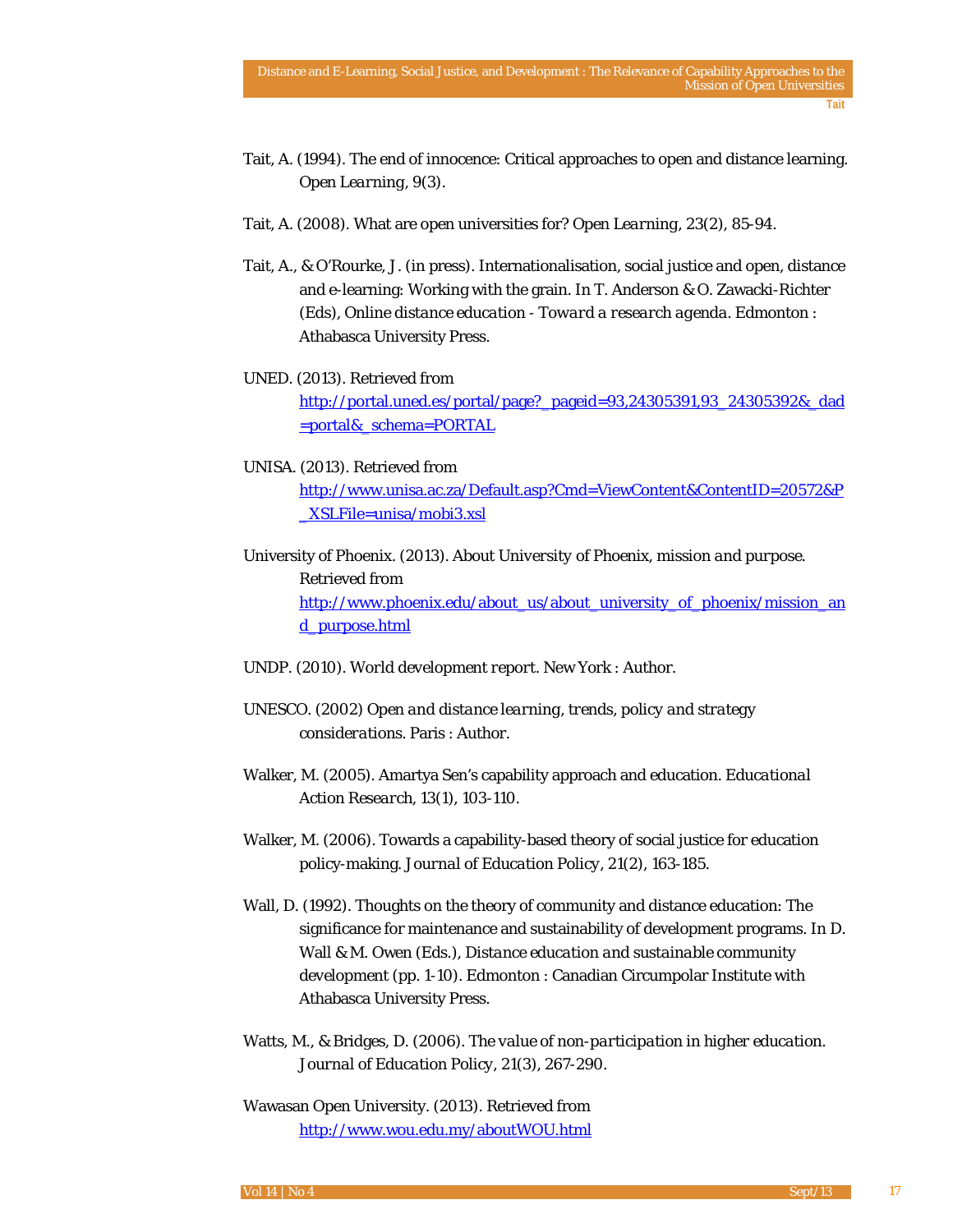- Tait, A. (1994). The end of innocence: Critical approaches to open and distance learning. *Open Learning*, *9*(3).
- Tait, A. (2008). What are open universities for? *Open Learning*, *23*(2), 85-94.
- Tait, A., & O'Rourke, J. (in press). Internationalisation, social justice and open, distance and e-learning: Working with the grain. In T. Anderson & O. Zawacki-Richter (Eds), *Online distance education - Toward a research agenda.* Edmonton : Athabasca University Press.
- UNED. (2013). Retrieved from [http://portal.uned.es/portal/page?\\_pageid=93,24305391,93\\_24305392&\\_dad](https://legacy.open.ac.uk/owa/redir.aspx?C=fH8s0SlXn0qlvZlH8PzqNzoFlrdz3c9Ixk5h6h1EZA3PJpU7cOA1-5DS6cb5JsXzKQZ6M6eWMHM.&URL=http%3a%2f%2fportal.uned.es%2fportal%2fpage%3f_pageid%3d93%2c24305391%2c93_24305392%26_dad%3dportal%26_schema%3dPORTAL) [=portal&\\_schema=PORTAL](https://legacy.open.ac.uk/owa/redir.aspx?C=fH8s0SlXn0qlvZlH8PzqNzoFlrdz3c9Ixk5h6h1EZA3PJpU7cOA1-5DS6cb5JsXzKQZ6M6eWMHM.&URL=http%3a%2f%2fportal.uned.es%2fportal%2fpage%3f_pageid%3d93%2c24305391%2c93_24305392%26_dad%3dportal%26_schema%3dPORTAL)
- UNISA. (2013). Retrieved from [http://www.unisa.ac.za/Default.asp?Cmd=ViewContent&ContentID=20572&P](https://legacy.open.ac.uk/owa/redir.aspx?C=fH8s0SlXn0qlvZlH8PzqNzoFlrdz3c9Ixk5h6h1EZA3PJpU7cOA1-5DS6cb5JsXzKQZ6M6eWMHM.&URL=http%3a%2f%2fwww.unisa.ac.za%2fDefault.asp%3fCmd%3dViewContent%26ContentID%3d20572%26P_XSLFile%3dunisa%2fmobi3.xsl) [\\_XSLFile=unisa/mobi3.xsl](https://legacy.open.ac.uk/owa/redir.aspx?C=fH8s0SlXn0qlvZlH8PzqNzoFlrdz3c9Ixk5h6h1EZA3PJpU7cOA1-5DS6cb5JsXzKQZ6M6eWMHM.&URL=http%3a%2f%2fwww.unisa.ac.za%2fDefault.asp%3fCmd%3dViewContent%26ContentID%3d20572%26P_XSLFile%3dunisa%2fmobi3.xsl)
- University of Phoenix. (2013). *About University of Phoenix, mission and purpose*. Retrieved from [http://www.phoenix.edu/about\\_us/about\\_university\\_of\\_phoenix/mission\\_an](http://www.phoenix.edu/about_us/about_university_of_phoenix/mission_and_purpose.html) [d\\_purpose.html](http://www.phoenix.edu/about_us/about_university_of_phoenix/mission_and_purpose.html)
- UNDP. (2010). *World development report.* New York : Author.
- UNESCO. (2002) *Open and distance learning, trends, policy and strategy considerations*. Paris : Author.
- Walker, M. (2005). Amartya Sen's capability approach and education. *Educational Action Research*, *13*(1), 103-110.
- Walker, M. (2006). Towards a capability-based theory of social justice for education policy-making. *Journal of Education Policy*, *21*(2), 163-185.
- Wall, D. (1992). Thoughts on the theory of community and distance education: The significance for maintenance and sustainability of development programs. In D. Wall & M. Owen (Eds.), *Distance education and sustainable community development* (pp. 1-10). Edmonton : Canadian Circumpolar Institute with Athabasca University Press.
- Watts, M., & Bridges, D. (2006). *The value of non-participation in higher education*. *Journal of Education Policy, 21*(3), 267-290.
- Wawasan Open University. (2013). Retrieved from [http://www.wou.edu.my/aboutWOU.html](https://legacy.open.ac.uk/owa/redir.aspx?C=fH8s0SlXn0qlvZlH8PzqNzoFlrdz3c9Ixk5h6h1EZA3PJpU7cOA1-5DS6cb5JsXzKQZ6M6eWMHM.&URL=http%3a%2f%2fwww.wou.edu.my%2faboutWOU.html)